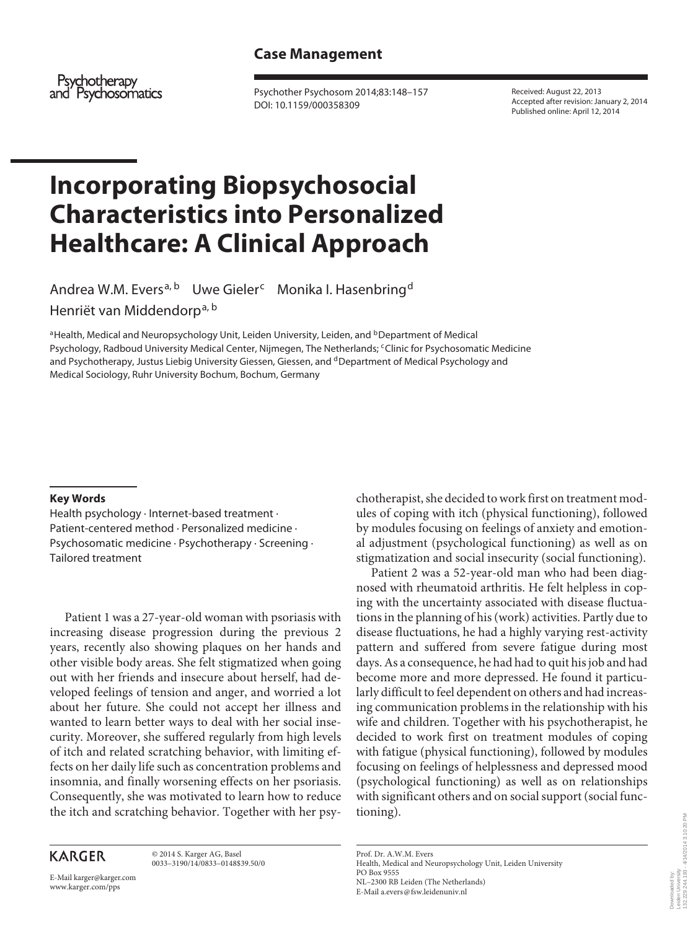## **Case Management**

Psychotherapy and Psychosomatics

 Psychother Psychosom 2014;83:148–157 DOI: 10.1159/000358309

 Received: August 22, 2013 Accepted after revision: January 2, 2014 Published online: April 12, 2014

# **Incorporating Biopsychosocial Characteristics into Personalized Healthcare: A Clinical Approach**

Andrea W.M. Evers<sup>a, b</sup> Uwe Gieler<sup>c</sup> Monika I. Hasenbring<sup>d</sup> Henriët van Middendorp<sup>a, b</sup>

<sup>a</sup> Health, Medical and Neuropsychology Unit, Leiden University, Leiden, and <sup>b</sup> Department of Medical Psychology, Radboud University Medical Center, Nijmegen, The Netherlands; <sup>c</sup>Clinic for Psychosomatic Medicine and Psychotherapy, Justus Liebig University Giessen, Giessen, and <sup>d</sup> Department of Medical Psychology and Medical Sociology, Ruhr University Bochum, Bochum, Germany

#### **Key Words**

 Health psychology · Internet-based treatment · Patient-centered method · Personalized medicine · Psychosomatic medicine · Psychotherapy · Screening · Tailored treatment

 Patient 1 was a 27-year-old woman with psoriasis with increasing disease progression during the previous 2 years, recently also showing plaques on her hands and other visible body areas. She felt stigmatized when going out with her friends and insecure about herself, had developed feelings of tension and anger, and worried a lot about her future. She could not accept her illness and wanted to learn better ways to deal with her social insecurity. Moreover, she suffered regularly from high levels of itch and related scratching behavior, with limiting effects on her daily life such as concentration problems and insomnia, and finally worsening effects on her psoriasis. Consequently, she was motivated to learn how to reduce the itch and scratching behavior. Together with her psy-

## **KARGER**

 © 2014 S. Karger AG, Basel 0033–3190/14/0833–0148\$39.50/0

E-Mail karger@karger.com www.karger.com/pps

chotherapist, she decided to work first on treatment modules of coping with itch (physical functioning), followed by modules focusing on feelings of anxiety and emotional adjustment (psychological functioning) as well as on stigmatization and social insecurity (social functioning).

 Patient 2 was a 52-year-old man who had been diagnosed with rheumatoid arthritis. He felt helpless in coping with the uncertainty associated with disease fluctuations in the planning of his (work) activities. Partly due to disease fluctuations, he had a highly varying rest-activity pattern and suffered from severe fatigue during most days. As a consequence, he had had to quit his job and had become more and more depressed. He found it particularly difficult to feel dependent on others and had increasing communication problems in the relationship with his wife and children. Together with his psychotherapist, he decided to work first on treatment modules of coping with fatigue (physical functioning), followed by modules focusing on feelings of helplessness and depressed mood (psychological functioning) as well as on relationships with significant others and on social support (social functioning).

 Prof. Dr. A.W.M. Evers Health, Medical and Neuropsychology Unit, Leiden University PO Box 9555 NL–2300 RB Leiden (The Netherlands) E-Mail a.evers @ fsw.leidenuniv.nl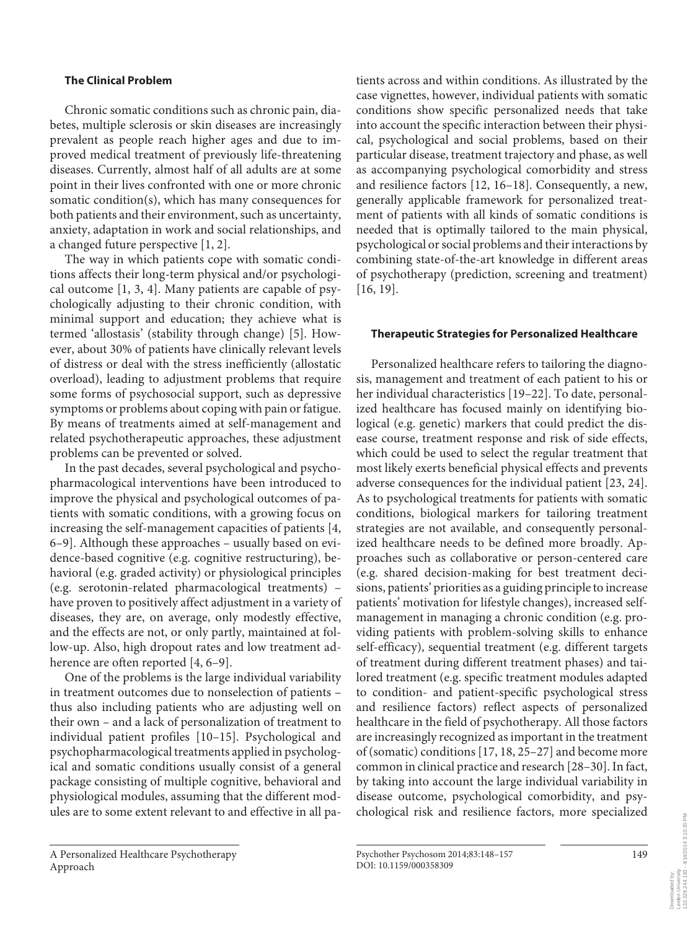#### **The Clinical Problem**

 Chronic somatic conditions such as chronic pain, diabetes, multiple sclerosis or skin diseases are increasingly prevalent as people reach higher ages and due to improved medical treatment of previously life-threatening diseases. Currently, almost half of all adults are at some point in their lives confronted with one or more chronic somatic condition(s), which has many consequences for both patients and their environment, such as uncertainty, anxiety, adaptation in work and social relationships, and a changed future perspective [1, 2].

 The way in which patients cope with somatic conditions affects their long-term physical and/or psychological outcome [1, 3, 4]. Many patients are capable of psychologically adjusting to their chronic condition, with minimal support and education; they achieve what is termed 'allostasis' (stability through change) [5]. However, about 30% of patients have clinically relevant levels of distress or deal with the stress inefficiently (allostatic overload), leading to adjustment problems that require some forms of psychosocial support, such as depressive symptoms or problems about coping with pain or fatigue. By means of treatments aimed at self-management and related psychotherapeutic approaches, these adjustment problems can be prevented or solved.

 In the past decades, several psychological and psychopharmacological interventions have been introduced to improve the physical and psychological outcomes of patients with somatic conditions, with a growing focus on increasing the self-management capacities of patients [4, 6–9] . Although these approaches – usually based on evidence-based cognitive (e.g. cognitive restructuring), behavioral (e.g. graded activity) or physiological principles (e.g. serotonin-related pharmacological treatments) – have proven to positively affect adjustment in a variety of diseases, they are, on average, only modestly effective, and the effects are not, or only partly, maintained at follow-up. Also, high dropout rates and low treatment adherence are often reported [4, 6–9].

 One of the problems is the large individual variability in treatment outcomes due to nonselection of patients – thus also including patients who are adjusting well on their own – and a lack of personalization of treatment to individual patient profiles [10-15]. Psychological and psychopharmacological treatments applied in psychological and somatic conditions usually consist of a general package consisting of multiple cognitive, behavioral and physiological modules, assuming that the different modules are to some extent relevant to and effective in all patients across and within conditions. As illustrated by the case vignettes, however, individual patients with somatic conditions show specific personalized needs that take into account the specific interaction between their physical, psychological and social problems, based on their particular disease, treatment trajectory and phase, as well as accompanying psychological comorbidity and stress and resilience factors [12, 16-18]. Consequently, a new, generally applicable framework for personalized treatment of patients with all kinds of somatic conditions is needed that is optimally tailored to the main physical, psychological or social problems and their interactions by combining state-of-the-art knowledge in different areas of psychotherapy (prediction, screening and treatment)  $[16, 19]$ .

### **Therapeutic Strategies for Personalized Healthcare**

 Personalized healthcare refers to tailoring the diagnosis, management and treatment of each patient to his or her individual characteristics [19-22]. To date, personalized healthcare has focused mainly on identifying biological (e.g. genetic) markers that could predict the disease course, treatment response and risk of side effects, which could be used to select the regular treatment that most likely exerts beneficial physical effects and prevents adverse consequences for the individual patient [23, 24] . As to psychological treatments for patients with somatic conditions, biological markers for tailoring treatment strategies are not available, and consequently personalized healthcare needs to be defined more broadly. Approaches such as collaborative or person-centered care (e.g. shared decision-making for best treatment decisions, patients' priorities as a guiding principle to increase patients' motivation for lifestyle changes), increased selfmanagement in managing a chronic condition (e.g. providing patients with problem-solving skills to enhance self-efficacy), sequential treatment (e.g. different targets of treatment during different treatment phases) and tailored treatment (e.g. specific treatment modules adapted to condition- and patient-specific psychological stress and resilience factors) reflect aspects of personalized healthcare in the field of psychotherapy. All those factors are increasingly recognized as important in the treatment of (somatic) conditions [17, 18, 25–27] and become more common in clinical practice and research [28–30] . In fact, by taking into account the large individual variability in disease outcome, psychological comorbidity, and psychological risk and resilience factors, more specialized

Downloaded by: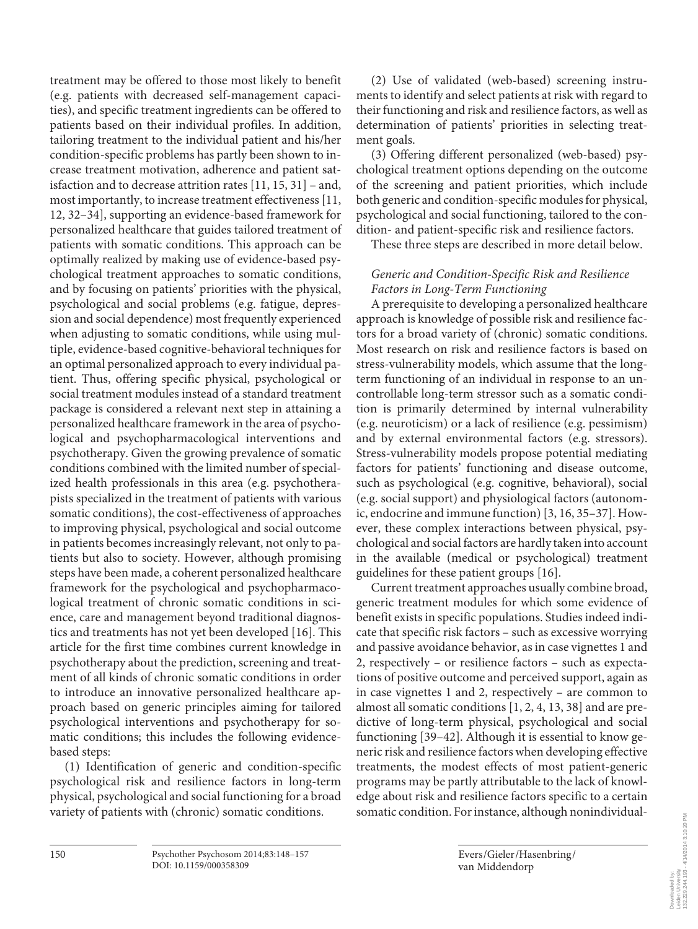treatment may be offered to those most likely to benefit (e.g. patients with decreased self-management capacities), and specific treatment ingredients can be offered to patients based on their individual profiles. In addition, tailoring treatment to the individual patient and his/her condition-specific problems has partly been shown to increase treatment motivation, adherence and patient satisfaction and to decrease attrition rates [11, 15, 31] – and, most importantly, to increase treatment effectiveness [11, 12, 32–34] , supporting an evidence-based framework for personalized healthcare that guides tailored treatment of patients with somatic conditions. This approach can be optimally realized by making use of evidence-based psychological treatment approaches to somatic conditions, and by focusing on patients' priorities with the physical, psychological and social problems (e.g. fatigue, depression and social dependence) most frequently experienced when adjusting to somatic conditions, while using multiple, evidence-based cognitive-behavioral techniques for an optimal personalized approach to every individual patient. Thus, offering specific physical, psychological or social treatment modules instead of a standard treatment package is considered a relevant next step in attaining a personalized healthcare framework in the area of psychological and psychopharmacological interventions and psychotherapy. Given the growing prevalence of somatic conditions combined with the limited number of specialized health professionals in this area (e.g. psychotherapists specialized in the treatment of patients with various somatic conditions), the cost-effectiveness of approaches to improving physical, psychological and social outcome in patients becomes increasingly relevant, not only to patients but also to society. However, although promising steps have been made, a coherent personalized healthcare framework for the psychological and psychopharmacological treatment of chronic somatic conditions in science, care and management beyond traditional diagnostics and treatments has not yet been developed [16] . This article for the first time combines current knowledge in psychotherapy about the prediction, screening and treatment of all kinds of chronic somatic conditions in order to introduce an innovative personalized healthcare approach based on generic principles aiming for tailored psychological interventions and psychotherapy for somatic conditions; this includes the following evidencebased steps:

 (1) Identification of generic and condition-specific psychological risk and resilience factors in long-term physical, psychological and social functioning for a broad variety of patients with (chronic) somatic conditions.

 (2) Use of validated (web-based) screening instruments to identify and select patients at risk with regard to their functioning and risk and resilience factors, as well as determination of patients' priorities in selecting treatment goals.

 (3) Offering different personalized (web-based) psychological treatment options depending on the outcome of the screening and patient priorities, which include both generic and condition-specific modules for physical, psychological and social functioning, tailored to the condition- and patient-specific risk and resilience factors.

These three steps are described in more detail below.

## *Generic and Condition-Specific Risk and Resilience Factors in Long-Term Functioning*

 A prerequisite to developing a personalized healthcare approach is knowledge of possible risk and resilience factors for a broad variety of (chronic) somatic conditions. Most research on risk and resilience factors is based on stress-vulnerability models, which assume that the longterm functioning of an individual in response to an uncontrollable long-term stressor such as a somatic condition is primarily determined by internal vulnerability (e.g. neuroticism) or a lack of resilience (e.g. pessimism) and by external environmental factors (e.g. stressors). Stress-vulnerability models propose potential mediating factors for patients' functioning and disease outcome, such as psychological (e.g. cognitive, behavioral), social (e.g. social support) and physiological factors (autonomic, endocrine and immune function) [3, 16, 35–37] . However, these complex interactions between physical, psychological and social factors are hardly taken into account in the available (medical or psychological) treatment guidelines for these patient groups [16] .

 Current treatment approaches usually combine broad, generic treatment modules for which some evidence of benefit exists in specific populations. Studies indeed indicate that specific risk factors – such as excessive worrying and passive avoidance behavior, as in case vignettes 1 and 2, respectively – or resilience factors – such as expectations of positive outcome and perceived support, again as in case vignettes 1 and 2, respectively – are common to almost all somatic conditions [1, 2, 4, 13, 38] and are predictive of long-term physical, psychological and social functioning [39–42] . Although it is essential to know generic risk and resilience factors when developing effective treatments, the modest effects of most patient-generic programs may be partly attributable to the lack of knowledge about risk and resilience factors specific to a certain somatic condition. For instance, although nonindividual-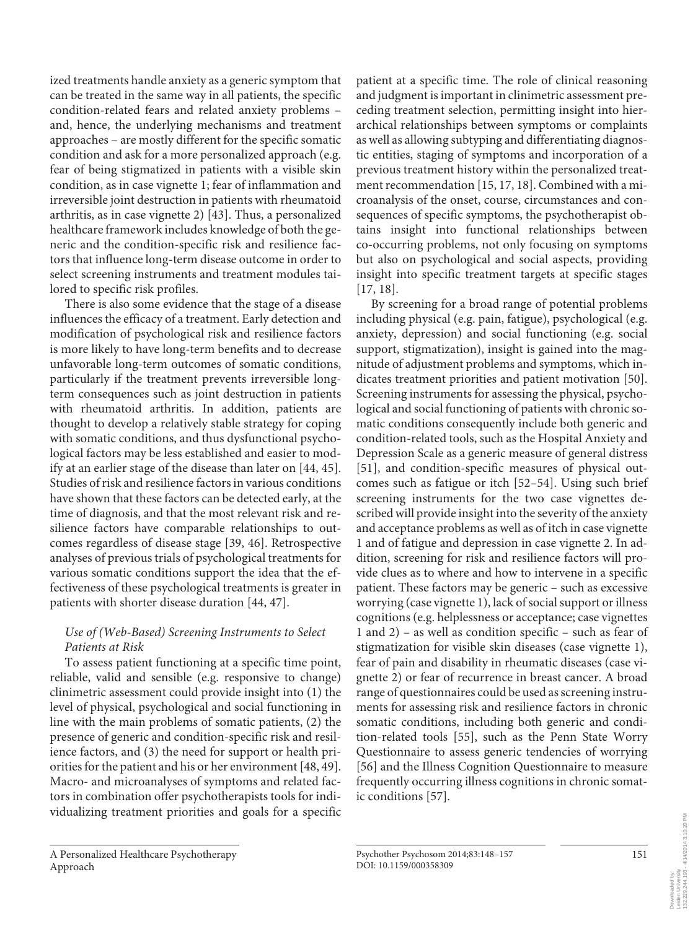ized treatments handle anxiety as a generic symptom that can be treated in the same way in all patients, the specific condition-related fears and related anxiety problems – and, hence, the underlying mechanisms and treatment approaches – are mostly different for the specific somatic condition and ask for a more personalized approach (e.g. fear of being stigmatized in patients with a visible skin condition, as in case vignette 1; fear of inflammation and irreversible joint destruction in patients with rheumatoid arthritis, as in case vignette 2) [43] . Thus, a personalized healthcare framework includes knowledge of both the generic and the condition-specific risk and resilience factors that influence long-term disease outcome in order to select screening instruments and treatment modules tailored to specific risk profiles.

 There is also some evidence that the stage of a disease influences the efficacy of a treatment. Early detection and modification of psychological risk and resilience factors is more likely to have long-term benefits and to decrease unfavorable long-term outcomes of somatic conditions, particularly if the treatment prevents irreversible longterm consequences such as joint destruction in patients with rheumatoid arthritis. In addition, patients are thought to develop a relatively stable strategy for coping with somatic conditions, and thus dysfunctional psychological factors may be less established and easier to modify at an earlier stage of the disease than later on [44, 45] . Studies of risk and resilience factors in various conditions have shown that these factors can be detected early, at the time of diagnosis, and that the most relevant risk and resilience factors have comparable relationships to outcomes regardless of disease stage [39, 46] . Retrospective analyses of previous trials of psychological treatments for various somatic conditions support the idea that the effectiveness of these psychological treatments is greater in patients with shorter disease duration [44, 47] .

## *Use of (Web-Based) Screening Instruments to Select Patients at Risk*

 To assess patient functioning at a specific time point, reliable, valid and sensible (e.g. responsive to change) clinimetric assessment could provide insight into (1) the level of physical, psychological and social functioning in line with the main problems of somatic patients, (2) the presence of generic and condition-specific risk and resilience factors, and (3) the need for support or health priorities for the patient and his or her environment [48, 49] . Macro- and microanalyses of symptoms and related factors in combination offer psychotherapists tools for individualizing treatment priorities and goals for a specific

patient at a specific time. The role of clinical reasoning and judgment is important in clinimetric assessment preceding treatment selection, permitting insight into hierarchical relationships between symptoms or complaints as well as allowing subtyping and differentiating diagnostic entities, staging of symptoms and incorporation of a previous treatment history within the personalized treatment recommendation [15, 17, 18] . Combined with a microanalysis of the onset, course, circumstances and consequences of specific symptoms, the psychotherapist obtains insight into functional relationships between co-occurring problems, not only focusing on symptoms but also on psychological and social aspects, providing insight into specific treatment targets at specific stages  $[17, 18]$ .

 By screening for a broad range of potential problems including physical (e.g. pain, fatigue), psychological (e.g. anxiety, depression) and social functioning (e.g. social support, stigmatization), insight is gained into the magnitude of adjustment problems and symptoms, which indicates treatment priorities and patient motivation [50] . Screening instruments for assessing the physical, psychological and social functioning of patients with chronic somatic conditions consequently include both generic and condition-related tools, such as the Hospital Anxiety and Depression Scale as a generic measure of general distress [51], and condition-specific measures of physical outcomes such as fatigue or itch [52–54]. Using such brief screening instruments for the two case vignettes described will provide insight into the severity of the anxiety and acceptance problems as well as of itch in case vignette 1 and of fatigue and depression in case vignette 2. In addition, screening for risk and resilience factors will provide clues as to where and how to intervene in a specific patient. These factors may be generic – such as excessive worrying (case vignette 1), lack of social support or illness cognitions (e.g. helplessness or acceptance; case vignettes 1 and 2) – as well as condition specific – such as fear of stigmatization for visible skin diseases (case vignette 1), fear of pain and disability in rheumatic diseases (case vignette 2) or fear of recurrence in breast cancer. A broad range of questionnaires could be used as screening instruments for assessing risk and resilience factors in chronic somatic conditions, including both generic and condition-related tools [55], such as the Penn State Worry Questionnaire to assess generic tendencies of worrying [56] and the Illness Cognition Questionnaire to measure frequently occurring illness cognitions in chronic somatic conditions [57] .

A Personalized Healthcare Psychotherapy Approach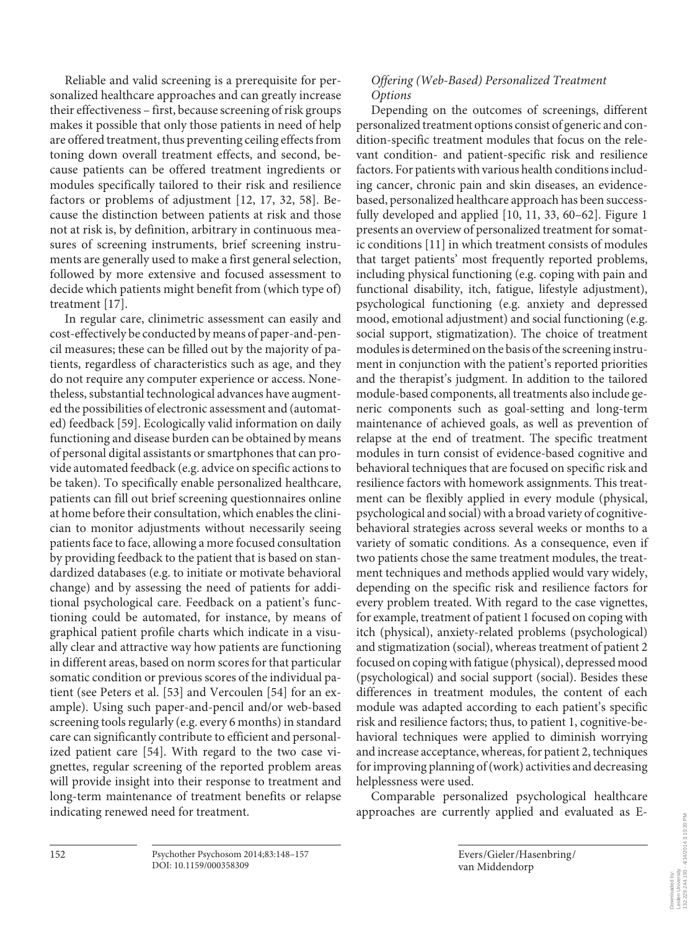Reliable and valid screening is a prerequisite for personalized healthcare approaches and can greatly increase their effectiveness – first, because screening of risk groups makes it possible that only those patients in need of help are offered treatment, thus preventing ceiling effects from toning down overall treatment effects, and second, because patients can be offered treatment ingredients or modules specifically tailored to their risk and resilience factors or problems of adjustment [12, 17, 32, 58]. Because the distinction between patients at risk and those not at risk is, by definition, arbitrary in continuous measures of screening instruments, brief screening instruments are generally used to make a first general selection, followed by more extensive and focused assessment to decide which patients might benefit from (which type of) treatment [17].

 In regular care, clinimetric assessment can easily and cost-effectively be conducted by means of paper-and-pencil measures; these can be filled out by the majority of patients, regardless of characteristics such as age, and they do not require any computer experience or access. Nonetheless, substantial technological advances have augmented the possibilities of electronic assessment and (automated) feedback [59]. Ecologically valid information on daily functioning and disease burden can be obtained by means of personal digital assistants or smartphones that can provide automated feedback (e.g. advice on specific actions to be taken). To specifically enable personalized healthcare, patients can fill out brief screening questionnaires online at home before their consultation, which enables the clinician to monitor adjustments without necessarily seeing patients face to face, allowing a more focused consultation by providing feedback to the patient that is based on standardized databases (e.g. to initiate or motivate behavioral change) and by assessing the need of patients for additional psychological care. Feedback on a patient's functioning could be automated, for instance, by means of graphical patient profile charts which indicate in a visually clear and attractive way how patients are functioning in different areas, based on norm scores for that particular somatic condition or previous scores of the individual patient (see Peters et al. [53] and Vercoulen [54] for an example). Using such paper-and-pencil and/or web-based screening tools regularly (e.g. every 6 months) in standard care can significantly contribute to efficient and personalized patient care [54]. With regard to the two case vignettes, regular screening of the reported problem areas will provide insight into their response to treatment and long-term maintenance of treatment benefits or relapse indicating renewed need for treatment.

## *Offering (Web-Based) Personalized Treatment Options*

 Depending on the outcomes of screenings, different personalized treatment options consist of generic and condition-specific treatment modules that focus on the relevant condition- and patient-specific risk and resilience factors. For patients with various health conditions including cancer, chronic pain and skin diseases, an evidencebased, personalized healthcare approach has been successfully developed and applied  $[10, 11, 33, 60-62]$ . Figure 1 presents an overview of personalized treatment for somatic conditions [11] in which treatment consists of modules that target patients' most frequently reported problems, including physical functioning (e.g. coping with pain and functional disability, itch, fatigue, lifestyle adjustment), psychological functioning (e.g. anxiety and depressed mood, emotional adjustment) and social functioning (e.g. social support, stigmatization). The choice of treatment modules is determined on the basis of the screening instrument in conjunction with the patient's reported priorities and the therapist's judgment. In addition to the tailored module-based components, all treatments also include generic components such as goal-setting and long-term maintenance of achieved goals, as well as prevention of relapse at the end of treatment. The specific treatment modules in turn consist of evidence-based cognitive and behavioral techniques that are focused on specific risk and resilience factors with homework assignments. This treatment can be flexibly applied in every module (physical, psychological and social) with a broad variety of cognitivebehavioral strategies across several weeks or months to a variety of somatic conditions. As a consequence, even if two patients chose the same treatment modules, the treatment techniques and methods applied would vary widely, depending on the specific risk and resilience factors for every problem treated. With regard to the case vignettes, for example, treatment of patient 1 focused on coping with itch (physical), anxiety-related problems (psychological) and stigmatization (social), whereas treatment of patient 2 focused on coping with fatigue (physical), depressed mood (psychological) and social support (social). Besides these differences in treatment modules, the content of each module was adapted according to each patient's specific risk and resilience factors; thus, to patient 1, cognitive-behavioral techniques were applied to diminish worrying and increase acceptance, whereas, for patient 2, techniques for improving planning of (work) activities and decreasing helplessness were used.

 Comparable personalized psychological healthcare approaches are currently applied and evaluated as E-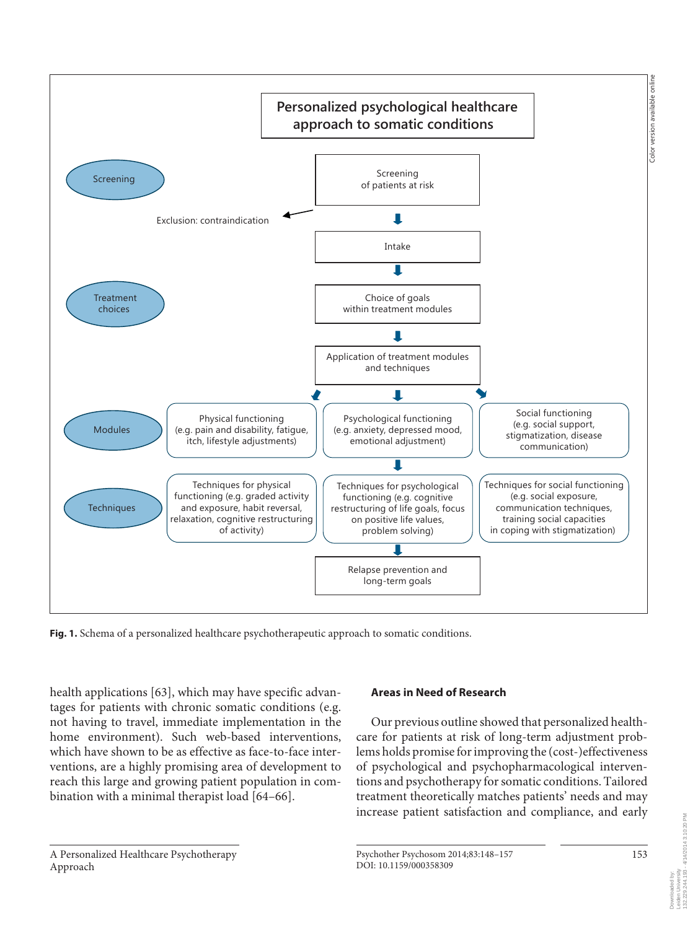

Fig. 1. Schema of a personalized healthcare psychotherapeutic approach to somatic conditions.

health applications [63], which may have specific advantages for patients with chronic somatic conditions (e.g. not having to travel, immediate implementation in the home environment). Such web-based interventions, which have shown to be as effective as face-to-face interventions, are a highly promising area of development to reach this large and growing patient population in combination with a minimal therapist load [64-66].

#### A Personalized Healthcare Psychotherapy Approach

## **Areas in Need of Research**

 Our previous outline showed that personalized healthcare for patients at risk of long-term adjustment problems holds promise for improving the (cost-)effectiveness of psychological and psychopharmacological interventions and psychotherapy for somatic conditions. Tailored treatment theoretically matches patients' needs and may increase patient satisfaction and compliance, and early

Psychother Psychosom 2014;83:148–157 DOI: 10.1159/000358309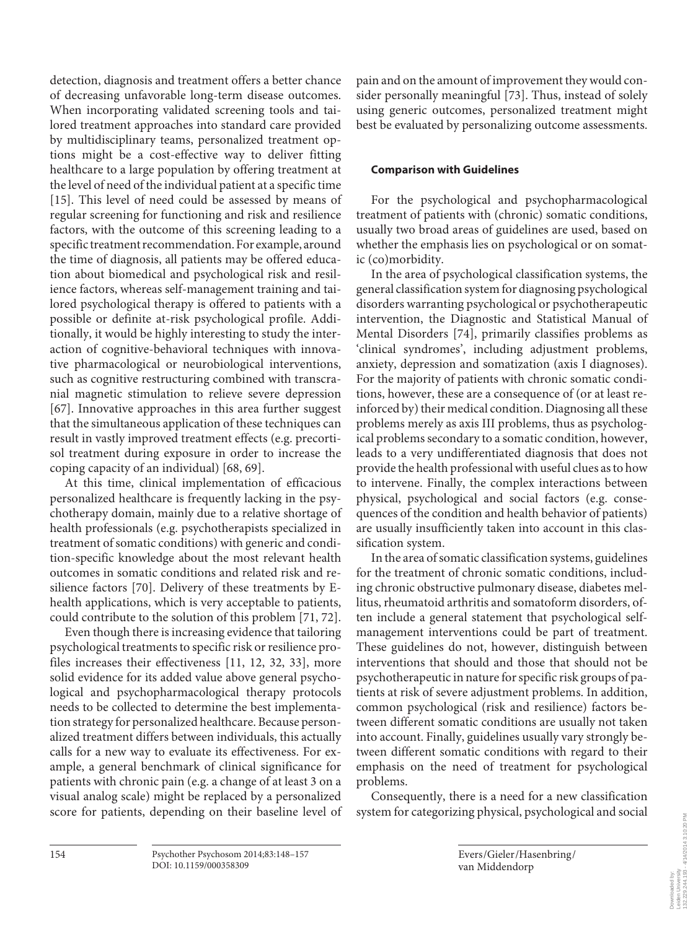detection, diagnosis and treatment offers a better chance of decreasing unfavorable long-term disease outcomes. When incorporating validated screening tools and tailored treatment approaches into standard care provided by multidisciplinary teams, personalized treatment options might be a cost-effective way to deliver fitting healthcare to a large population by offering treatment at the level of need of the individual patient at a specific time [15]. This level of need could be assessed by means of regular screening for functioning and risk and resilience factors, with the outcome of this screening leading to a specific treatment recommendation. For example, around the time of diagnosis, all patients may be offered education about biomedical and psychological risk and resilience factors, whereas self-management training and tailored psychological therapy is offered to patients with a possible or definite at-risk psychological profile. Additionally, it would be highly interesting to study the interaction of cognitive-behavioral techniques with innovative pharmacological or neurobiological interventions, such as cognitive restructuring combined with transcranial magnetic stimulation to relieve severe depression [67]. Innovative approaches in this area further suggest that the simultaneous application of these techniques can result in vastly improved treatment effects (e.g. precortisol treatment during exposure in order to increase the coping capacity of an individual) [68, 69] .

 At this time, clinical implementation of efficacious personalized healthcare is frequently lacking in the psychotherapy domain, mainly due to a relative shortage of health professionals (e.g. psychotherapists specialized in treatment of somatic conditions) with generic and condition-specific knowledge about the most relevant health outcomes in somatic conditions and related risk and resilience factors [70]. Delivery of these treatments by Ehealth applications, which is very acceptable to patients, could contribute to the solution of this problem [71, 72] .

 Even though there is increasing evidence that tailoring psychological treatments to specific risk or resilience profiles increases their effectiveness [11, 12, 32, 33], more solid evidence for its added value above general psychological and psychopharmacological therapy protocols needs to be collected to determine the best implementation strategy for personalized healthcare. Because personalized treatment differs between individuals, this actually calls for a new way to evaluate its effectiveness. For example, a general benchmark of clinical significance for patients with chronic pain (e.g. a change of at least 3 on a visual analog scale) might be replaced by a personalized score for patients, depending on their baseline level of pain and on the amount of improvement they would consider personally meaningful [73]. Thus, instead of solely using generic outcomes, personalized treatment might best be evaluated by personalizing outcome assessments.

## **Comparison with Guidelines**

 For the psychological and psychopharmacological treatment of patients with (chronic) somatic conditions, usually two broad areas of guidelines are used, based on whether the emphasis lies on psychological or on somatic (co)morbidity.

 In the area of psychological classification systems, the general classification system for diagnosing psychological disorders warranting psychological or psychotherapeutic intervention, the Diagnostic and Statistical Manual of Mental Disorders [74], primarily classifies problems as 'clinical syndromes', including adjustment problems, anxiety, depression and somatization (axis I diagnoses). For the majority of patients with chronic somatic conditions, however, these are a consequence of (or at least reinforced by) their medical condition. Diagnosing all these problems merely as axis III problems, thus as psychological problems secondary to a somatic condition, however, leads to a very undifferentiated diagnosis that does not provide the health professional with useful clues as to how to intervene. Finally, the complex interactions between physical, psychological and social factors (e.g. consequences of the condition and health behavior of patients) are usually insufficiently taken into account in this classification system.

 In the area of somatic classification systems, guidelines for the treatment of chronic somatic conditions, including chronic obstructive pulmonary disease, diabetes mellitus, rheumatoid arthritis and somatoform disorders, often include a general statement that psychological selfmanagement interventions could be part of treatment. These guidelines do not, however, distinguish between interventions that should and those that should not be psychotherapeutic in nature for specific risk groups of patients at risk of severe adjustment problems. In addition, common psychological (risk and resilience) factors between different somatic conditions are usually not taken into account. Finally, guidelines usually vary strongly between different somatic conditions with regard to their emphasis on the need of treatment for psychological problems.

 Consequently, there is a need for a new classification system for categorizing physical, psychological and social

Downloaded by: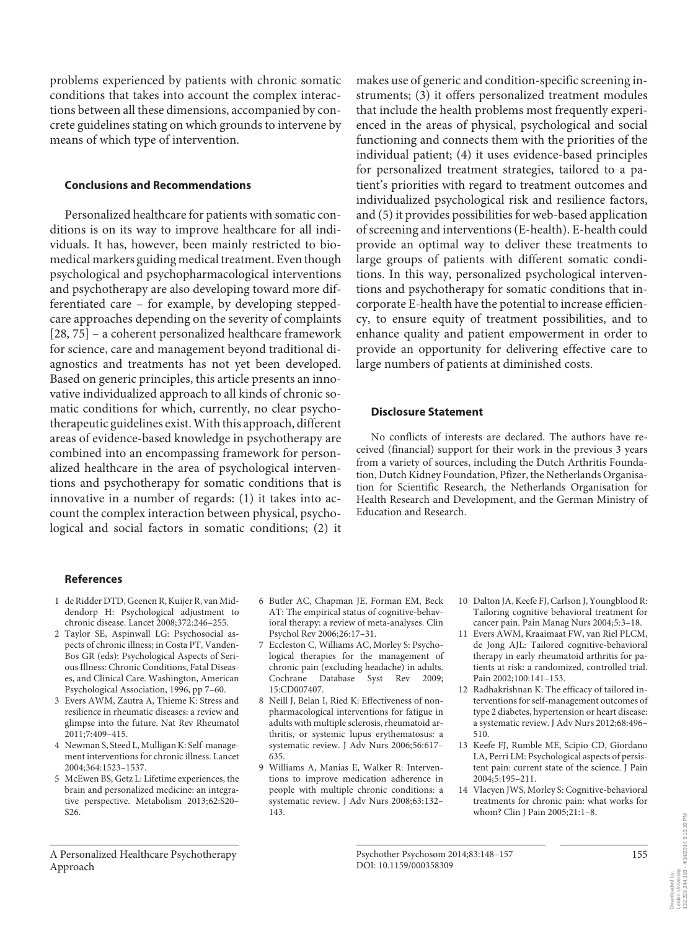problems experienced by patients with chronic somatic conditions that takes into account the complex interactions between all these dimensions, accompanied by concrete guidelines stating on which grounds to intervene by means of which type of intervention.

#### **Conclusions and Recommendations**

 Personalized healthcare for patients with somatic conditions is on its way to improve healthcare for all individuals. It has, however, been mainly restricted to biomedical markers guiding medical treatment. Even though psychological and psychopharmacological interventions and psychotherapy are also developing toward more differentiated care – for example, by developing steppedcare approaches depending on the severity of complaints [28, 75] – a coherent personalized healthcare framework for science, care and management beyond traditional diagnostics and treatments has not yet been developed. Based on generic principles, this article presents an innovative individualized approach to all kinds of chronic somatic conditions for which, currently, no clear psychotherapeutic guidelines exist. With this approach, different areas of evidence-based knowledge in psychotherapy are combined into an encompassing framework for personalized healthcare in the area of psychological interventions and psychotherapy for somatic conditions that is innovative in a number of regards: (1) it takes into account the complex interaction between physical, psychological and social factors in somatic conditions; (2) it

makes use of generic and condition-specific screening instruments; (3) it offers personalized treatment modules that include the health problems most frequently experienced in the areas of physical, psychological and social functioning and connects them with the priorities of the individual patient; (4) it uses evidence-based principles for personalized treatment strategies, tailored to a patient's priorities with regard to treatment outcomes and individualized psychological risk and resilience factors, and (5) it provides possibilities for web-based application of screening and interventions (E-health). E-health could provide an optimal way to deliver these treatments to large groups of patients with different somatic conditions. In this way, personalized psychological interventions and psychotherapy for somatic conditions that incorporate E-health have the potential to increase efficiency, to ensure equity of treatment possibilities, and to enhance quality and patient empowerment in order to provide an opportunity for delivering effective care to large numbers of patients at diminished costs.

#### **Disclosure Statement**

 No conflicts of interests are declared. The authors have received (financial) support for their work in the previous 3 years from a variety of sources, including the Dutch Arthritis Foundation, Dutch Kidney Foundation, Pfizer, the Netherlands Organisation for Scientific Research, the Netherlands Organisation for Health Research and Development, and the German Ministry of Education and Research.

#### **References**

- 1 de Ridder DTD, Geenen R, Kuijer R, van Middendorp H: Psychological adjustment to chronic disease. Lancet 2008;372:246–255.
- 2 Taylor SE, Aspinwall LG: Psychosocial aspects of chronic illness; in Costa PT, Vanden-Bos GR (eds): Psychological Aspects of Serious Illness: Chronic Conditions, Fatal Diseases, and Clinical Care. Washington, American Psychological Association, 1996, pp 7–60.
- 3 Evers AWM, Zautra A, Thieme K: Stress and resilience in rheumatic diseases: a review and glimpse into the future. Nat Rev Rheumatol 2011;7:409–415.
- 4 Newman S, Steed L, Mulligan K: Self-management interventions for chronic illness. Lancet 2004;364:1523–1537.
- 5 McEwen BS, Getz L: Lifetime experiences, the brain and personalized medicine: an integrative perspective. Metabolism 2013;62:S20– S26.
- 6 Butler AC, Chapman JE, Forman EM, Beck AT: The empirical status of cognitive-behavioral therapy: a review of meta-analyses. Clin Psychol Rev 2006;26:17–31.
- 7 Eccleston C, Williams AC, Morley S: Psychological therapies for the management of chronic pain (excluding headache) in adults. Cochrane Database Syst Rev 2009; 15:CD007407.
- 8 Neill J, Belan I, Ried K: Effectiveness of nonpharmacological interventions for fatigue in adults with multiple sclerosis, rheumatoid arthritis, or systemic lupus erythematosus: a systematic review. J Adv Nurs 2006;56:617– 635.
- 9 Williams A, Manias E, Walker R: Interventions to improve medication adherence in people with multiple chronic conditions: a systematic review. J Adv Nurs 2008;63:132– 143.
- 10 Dalton JA, Keefe FJ, Carlson J, Youngblood R: Tailoring cognitive behavioral treatment for cancer pain. Pain Manag Nurs 2004;5:3–18.
- 11 Evers AWM, Kraaimaat FW, van Riel PLCM, de Jong AJL: Tailored cognitive-behavioral therapy in early rheumatoid arthritis for patients at risk: a randomized, controlled trial. Pain 2002;100:141–153.
- 12 Radhakrishnan K: The efficacy of tailored interventions for self-management outcomes of type 2 diabetes, hypertension or heart disease: a systematic review. J Adv Nurs 2012;68:496– 510.
- 13 Keefe FJ, Rumble ME, Scipio CD, Giordano LA, Perri LM: Psychological aspects of persistent pain: current state of the science. J Pain 2004;5:195–211.
- 14 Vlaeyen JWS, Morley S: Cognitive-behavioral treatments for chronic pain: what works for whom? Clin J Pain 2005;21:1–8.

 A Personalized Healthcare Psychotherapy Approach

Downloaded by: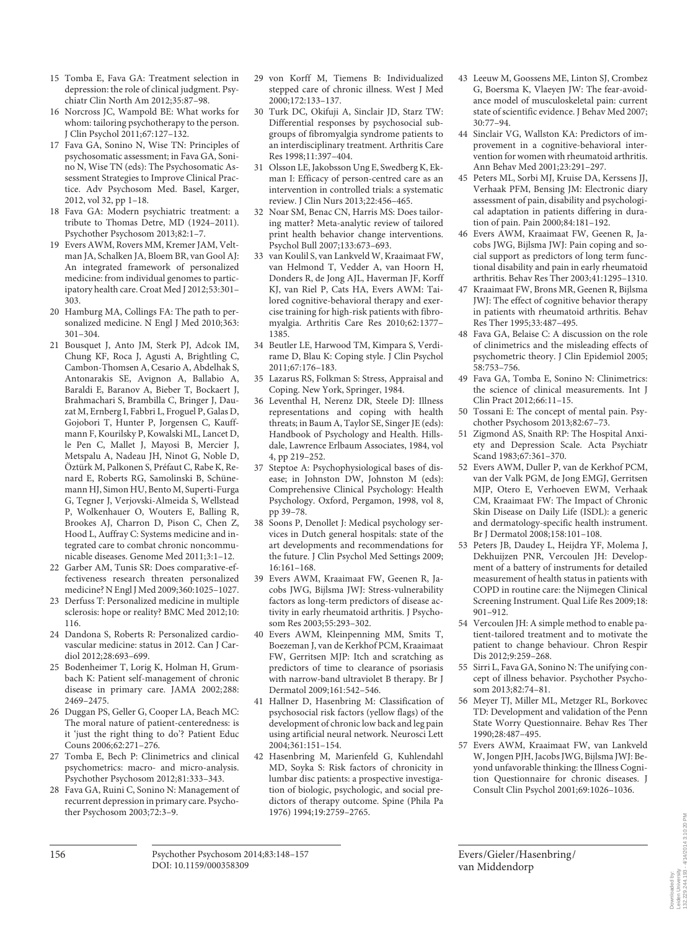- 15 Tomba E, Fava GA: Treatment selection in depression: the role of clinical judgment. Psychiatr Clin North Am 2012;35:87–98.
- 16 Norcross JC, Wampold BE: What works for whom: tailoring psychotherapy to the person. J Clin Psychol 2011;67:127–132.
- 17 Fava GA, Sonino N, Wise TN: Principles of psychosomatic assessment; in Fava GA, Sonino N, Wise TN (eds): The Psychosomatic Assessment Strategies to Improve Clinical Practice. Adv Psychosom Med. Basel, Karger, 2012, vol 32, pp 1–18.
- 18 Fava GA: Modern psychiatric treatment: a tribute to Thomas Detre, MD (1924–2011). Psychother Psychosom 2013;82:1–7.
- 19 Evers AWM, Rovers MM, Kremer JAM, Veltman JA, Schalken JA, Bloem BR, van Gool AJ: An integrated framework of personalized medicine: from individual genomes to participatory health care. Croat Med J 2012;53:301– 303.
- 20 Hamburg MA, Collings FA: The path to personalized medicine. N Engl J Med 2010;363: 301–304.
- 21 Bousquet J, Anto JM, Sterk PJ, Adcok IM, Chung KF, Roca J, Agusti A, Brightling C, Cambon-Thomsen A, Cesario A, Abdelhak S, Antonarakis SE, Avignon A, Ballabio A, Baraldi E, Baranov A, Bieber T, Bockaert J, Brahmachari S, Brambilla C, Bringer J, Dauzat M, Ernberg I, Fabbri L, Froguel P, Galas D, Gojobori T, Hunter P, Jorgensen C, Kauffmann F, Kourilsky P, Kowalski ML, Lancet D, le Pen C, Mallet J, Mayosi B, Mercier J, Metspalu A, Nadeau JH, Ninot G, Noble D, Öztürk M, Palkonen S, Préfaut C, Rabe K, Renard E, Roberts RG, Samolinski B, Schünemann HJ, Simon HU, Bento M, Superti-Furga G, Tegner J, Verjovski-Almeida S, Wellstead P, Wolkenhauer O, Wouters E, Balling R, Brookes AJ, Charron D, Pison C, Chen Z, Hood L, Auffray C: Systems medicine and integrated care to combat chronic noncommunicable diseases. Genome Med 2011;3:1–12.
- 22 Garber AM, Tunis SR: Does comparative-effectiveness research threaten personalized medicine? N Engl J Med 2009;360:1025–1027.
- 23 Derfuss T: Personalized medicine in multiple sclerosis: hope or reality? BMC Med 2012;10: 116.
- 24 Dandona S, Roberts R: Personalized cardiovascular medicine: status in 2012. Can J Cardiol 2012;28:693–699.
- 25 Bodenheimer T, Lorig K, Holman H, Grumbach K: Patient self-management of chronic disease in primary care. JAMA 2002;288: 2469–2475.
- 26 Duggan PS, Geller G, Cooper LA, Beach MC: The moral nature of patient-centeredness: is it 'just the right thing to do'? Patient Educ Couns 2006;62:271–276.
- 27 Tomba E, Bech P: Clinimetrics and clinical psychometrics: macro- and micro-analysis. Psychother Psychosom 2012;81:333–343.
- 28 Fava GA, Ruini C, Sonino N: Management of recurrent depression in primary care. Psychother Psychosom 2003;72:3–9.
- 29 von Korff M, Tiemens B: Individualized stepped care of chronic illness. West J Med 2000;172:133–137.
- 30 Turk DC, Okifuji A, Sinclair JD, Starz TW: Differential responses by psychosocial subgroups of fibromyalgia syndrome patients to an interdisciplinary treatment. Arthritis Care Res 1998;11:397–404.
- 31 Olsson LE, Jakobsson Ung E, Swedberg K, Ekman I: Efficacy of person-centred care as an intervention in controlled trials: a systematic review. J Clin Nurs 2013;22:456–465.
- 32 Noar SM, Benac CN, Harris MS: Does tailoring matter? Meta-analytic review of tailored print health behavior change interventions. Psychol Bull 2007;133:673–693.
- 33 van Koulil S, van Lankveld W, Kraaimaat FW, van Helmond T, Vedder A, van Hoorn H, Donders R, de Jong AJL, Haverman JF, Korff KJ, van Riel P, Cats HA, Evers AWM: Tailored cognitive-behavioral therapy and exercise training for high-risk patients with fibromyalgia. Arthritis Care Res 2010;62:1377– 1385.
- 34 Beutler LE, Harwood TM, Kimpara S, Verdirame D, Blau K: Coping style. J Clin Psychol 2011;67:176–183.
- 35 Lazarus RS, Folkman S: Stress, Appraisal and Coping. New York, Springer, 1984.
- Leventhal H, Nerenz DR, Steele DJ: Illness representations and coping with health threats; in Baum A, Taylor SE, Singer JE (eds): Handbook of Psychology and Health. Hillsdale, Lawrence Erlbaum Associates, 1984, vol 4, pp 219–252.
- 37 Steptoe A: Psychophysiological bases of disease; in Johnston DW, Johnston M (eds): Comprehensive Clinical Psychology: Health Psychology. Oxford, Pergamon, 1998, vol 8, pp 39–78.
- 38 Soons P, Denollet J: Medical psychology services in Dutch general hospitals: state of the art developments and recommendations for the future. J Clin Psychol Med Settings 2009; 16:161–168.
- 39 Evers AWM, Kraaimaat FW, Geenen R, Jacobs JWG, Bijlsma JWJ: Stress-vulnerability factors as long-term predictors of disease activity in early rheumatoid arthritis. J Psychosom Res 2003;55:293–302.
- 40 Evers AWM, Kleinpenning MM, Smits T, Boezeman J, van de Kerkhof PCM, Kraaimaat FW, Gerritsen MJP: Itch and scratching as predictors of time to clearance of psoriasis with narrow-band ultraviolet B therapy. Br J Dermatol 2009;161:542–546.
- 41 Hallner D, Hasenbring M: Classification of psychosocial risk factors (yellow flags) of the development of chronic low back and leg pain using artificial neural network. Neurosci Lett 2004;361:151–154.
- 42 Hasenbring M, Marienfeld G, Kuhlendahl MD, Soyka S: Risk factors of chronicity in lumbar disc patients: a prospective investigation of biologic, psychologic, and social predictors of therapy outcome. Spine (Phila Pa 1976) 1994;19:2759–2765.
- 43 Leeuw M, Goossens ME, Linton SJ, Crombez G, Boersma K, Vlaeyen JW: The fear-avoidance model of musculoskeletal pain: current state of scientific evidence. J Behav Med 2007; 30:77–94.
- 44 Sinclair VG, Wallston KA: Predictors of improvement in a cognitive-behavioral intervention for women with rheumatoid arthritis. Ann Behav Med 2001;23:291–297.
- 45 Peters ML, Sorbi MJ, Kruise DA, Kerssens JJ, Verhaak PFM, Bensing JM: Electronic diary assessment of pain, disability and psychological adaptation in patients differing in duration of pain. Pain 2000;84:181–192.
- 46 Evers AWM, Kraaimaat FW, Geenen R, Jacobs JWG, Bijlsma JWJ: Pain coping and social support as predictors of long term functional disability and pain in early rheumatoid arthritis. Behav Res Ther 2003;41:1295–1310.
- 47 Kraaimaat FW, Brons MR, Geenen R, Bijlsma JWJ: The effect of cognitive behavior therapy in patients with rheumatoid arthritis. Behav Res Ther 1995;33:487–495.
- 48 Fava GA, Belaise C: A discussion on the role of clinimetrics and the misleading effects of psychometric theory. J Clin Epidemiol 2005; 58:753–756.
- 49 Fava GA, Tomba E, Sonino N: Clinimetrics: the science of clinical measurements. Int J Clin Pract 2012;66:11–15.
- 50 Tossani E: The concept of mental pain. Psychother Psychosom 2013;82:67–73.
- 51 Zigmond AS, Snaith RP: The Hospital Anxiety and Depression Scale. Acta Psychiatr Scand 1983;67:361–370.
- 52 Evers AWM, Duller P, van de Kerkhof PCM, van der Valk PGM, de Jong EMGJ, Gerritsen MJP, Otero E, Verhoeven EWM, Verhaak CM, Kraaimaat FW: The Impact of Chronic Skin Disease on Daily Life (ISDL): a generic and dermatology-specific health instrument. Br J Dermatol 2008;158:101–108.
- 53 Peters JB, Daudey L, Heijdra YF, Molema J, Dekhuijzen PNR, Vercoulen JH: Development of a battery of instruments for detailed measurement of health status in patients with COPD in routine care: the Nijmegen Clinical Screening Instrument. Qual Life Res 2009;18: 901–912.
- 54 Vercoulen JH: A simple method to enable patient-tailored treatment and to motivate the patient to change behaviour. Chron Respir Dis 2012;9:259–268.
- 55 Sirri L, Fava GA, Sonino N: The unifying concept of illness behavior. Psychother Psychosom 2013;82:74–81.
- 56 Meyer TJ, Miller ML, Metzger RL, Borkovec TD: Development and validation of the Penn State Worry Questionnaire. Behav Res Ther 1990;28:487–495.
- 57 Evers AWM, Kraaimaat FW, van Lankveld W, Jongen PJH, Jacobs JWG, Bijlsma JWJ: Beyond unfavorable thinking: the Illness Cognition Questionnaire for chronic diseases. J Consult Clin Psychol 2001;69:1026–1036.